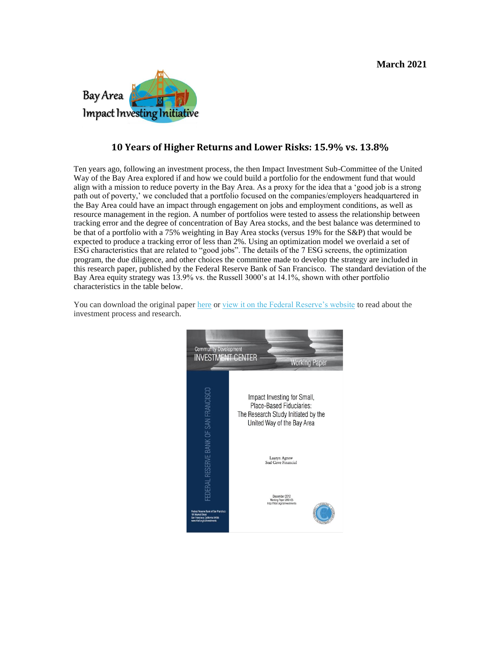

## **10 Years of Higher Returns and Lower Risks: 15.9% vs. 13.8%**

Ten years ago, following an investment process, the then Impact Investment Sub-Committee of the United Way of the Bay Area explored if and how we could build a portfolio for the endowment fund that would align with a mission to reduce poverty in the Bay Area. As a proxy for the idea that a 'good job is a strong path out of poverty,' we concluded that a portfolio focused on the companies/employers headquartered in the Bay Area could have an impact through engagement on jobs and employment conditions, as well as resource management in the region. A number of portfolios were tested to assess the relationship between tracking error and the degree of concentration of Bay Area stocks, and the best balance was determined to be that of a portfolio with a 75% weighting in Bay Area stocks (versus 19% for the S&P) that would be expected to produce a tracking error of less than 2%. Using an optimization model we overlaid a set of ESG characteristics that are related to "good jobs". The details of the 7 ESG screens, the optimization program, the due diligence, and other choices the committee made to develop the strategy are included in this research paper, published by the Federal Reserve Bank of San Francisco. The standard deviation of the Bay Area equity strategy was 13.9% vs. the Russell 3000's at 14.1%, shown with other portfolio characteristics in the table below.

You can download the original paper [here](http://baiii.org/wp-content/uploads/2013/09/FedUWBA-ResearchWorkingPaper.pdf) or [view it on the Federal Reserve's website](http://www.frbsf.org/community-development/files/wp2012-05.pdf) to read about the investment process and research.

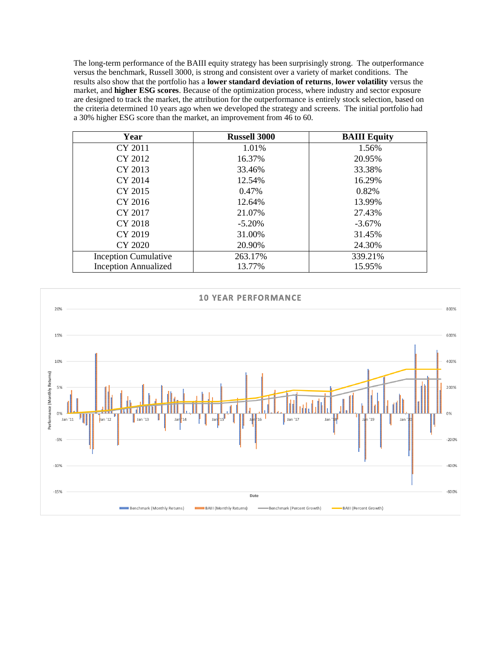The long-term performance of the BAIII equity strategy has been surprisingly strong. The outperformance versus the benchmark, Russell 3000, is strong and consistent over a variety of market conditions. The results also show that the portfolio has a **lower standard deviation of returns**, **lower volatility** versus the market, and **higher ESG scores**. Because of the optimization process, where industry and sector exposure are designed to track the market, the attribution for the outperformance is entirely stock selection, based on the criteria determined 10 years ago when we developed the strategy and screens. The initial portfolio had a 30% higher ESG score than the market, an improvement from 46 to 60.

| Year                        | <b>Russell 3000</b> | <b>BAIII</b> Equity |
|-----------------------------|---------------------|---------------------|
| CY 2011                     | 1.01%               | 1.56%               |
| CY 2012                     | 16.37%              | 20.95%              |
| CY 2013                     | 33.46%              | 33.38%              |
| CY 2014                     | 12.54%              | 16.29%              |
| CY 2015                     | 0.47%               | 0.82%               |
| CY 2016                     | 12.64%              | 13.99%              |
| CY 2017                     | 21.07%              | 27.43%              |
| CY 2018                     | $-5.20%$            | $-3.67%$            |
| CY 2019                     | 31.00%              | 31.45%              |
| CY 2020                     | 20.90%              | 24.30%              |
| <b>Inception Cumulative</b> | 263.17%             | 339.21%             |
| <b>Inception Annualized</b> | 13.77%              | 15.95%              |

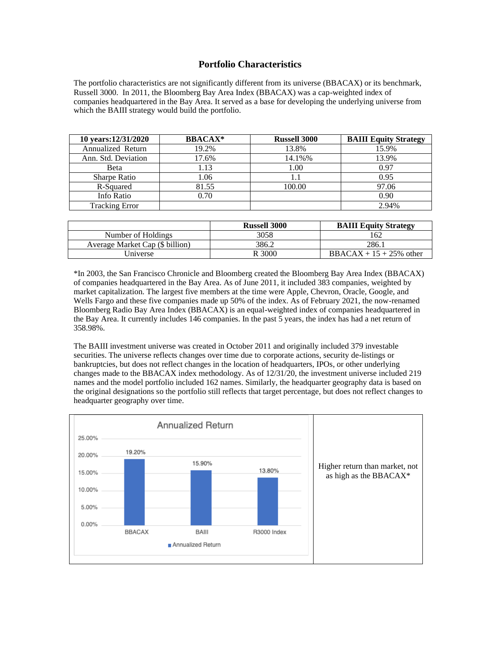### **Portfolio Characteristics**

The portfolio characteristics are not significantly different from its universe (BBACAX) or its benchmark, Russell 3000. In 2011, the Bloomberg Bay Area Index (BBACAX) was a cap-weighted index of companies headquartered in the Bay Area. It served as a base for developing the underlying universe from which the BAIII strategy would build the portfolio.

| 10 years: 12/31/2020  | <b>BBACAX*</b> | <b>Russell 3000</b> | <b>BAIII</b> Equity Strategy |
|-----------------------|----------------|---------------------|------------------------------|
| Annualized Return     | 19.2%          | 13.8%               | 15.9%                        |
| Ann. Std. Deviation   | 17.6%          | 14.1%%              | 13.9%                        |
| <b>Beta</b>           | 1.13           | 1.00                | 0.97                         |
| <b>Sharpe Ratio</b>   | 1.06           | 1.1                 | 0.95                         |
| R-Squared             | 81.55          | 100.00              | 97.06                        |
| Info Ratio            | 0.70           |                     | 0.90                         |
| <b>Tracking Error</b> |                |                     | 2.94%                        |

|                                 | <b>Russell 3000</b> | <b>BAIII</b> Equity Strategy |
|---------------------------------|---------------------|------------------------------|
| Number of Holdings              | 3058                | 162                          |
| Average Market Cap (\$ billion) | 386.2               | 286.1                        |
| Universe                        | R 3000              | BBACAX + $15 + 25%$ other    |

\*In 2003, the San Francisco Chronicle and Bloomberg created the Bloomberg Bay Area Index (BBACAX) of companies headquartered in the Bay Area. As of June 2011, it included 383 companies, weighted by market capitalization. The largest five members at the time were Apple, Chevron, Oracle, Google, and Wells Fargo and these five companies made up 50% of the index. As of February 2021, the now-renamed Bloomberg Radio Bay Area Index (BBACAX) is an equal-weighted index of companies headquartered in the Bay Area. It currently includes 146 companies. In the past 5 years, the index has had a net return of 358.98%.

The BAIII investment universe was created in October 2011 and originally included 379 investable securities. The universe reflects changes over time due to corporate actions, security de-listings or bankruptcies, but does not reflect changes in the location of headquarters, IPOs, or other underlying changes made to the BBACAX index methodology. As of 12/31/20, the investment universe included 219 names and the model portfolio included 162 names. Similarly, the headquarter geography data is based on the original designations so the portfolio still reflects that target percentage, but does not reflect changes to headquarter geography over time.

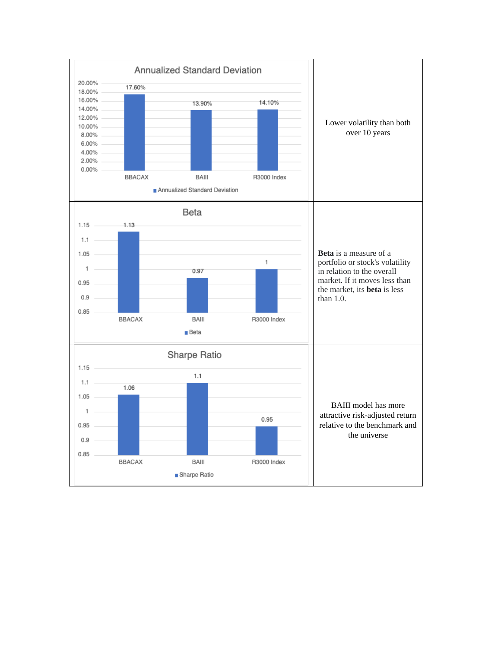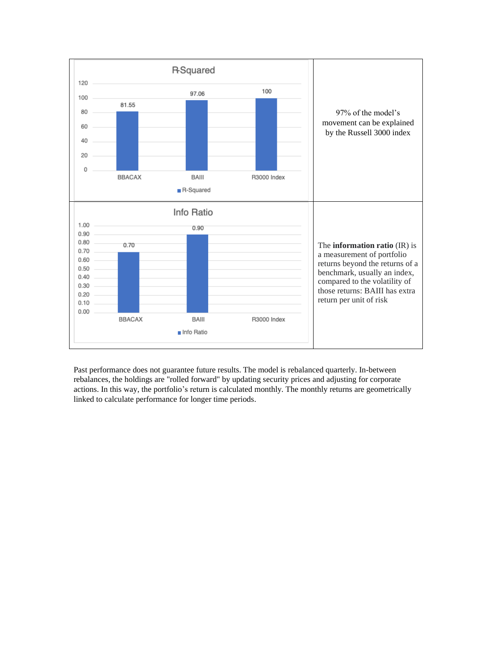

Past performance does not guarantee future results. The model is rebalanced quarterly. In-between rebalances, the holdings are "rolled forward" by updating security prices and adjusting for corporate actions. In this way, the portfolio's return is calculated monthly. The monthly returns are geometrically linked to calculate performance for longer time periods.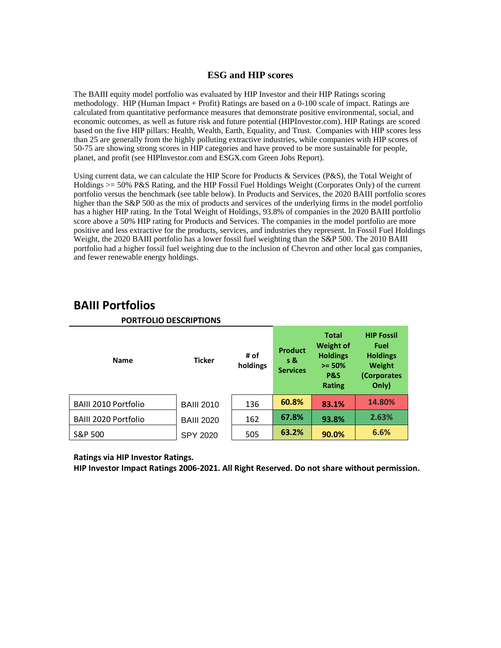### **ESG and HIP scores**

The BAIII equity model portfolio was evaluated by HIP Investor and their HIP Ratings scoring methodology. HIP (Human Impact + Profit) Ratings are based on a 0-100 scale of impact. Ratings are calculated from quantitative performance measures that demonstrate positive environmental, social, and economic outcomes, as well as future risk and future potential (HIPInvestor.com). HIP Ratings are scored based on the five HIP pillars: Health, Wealth, Earth, Equality, and Trust. Companies with HIP scores less than 25 are generally from the highly polluting extractive industries, while companies with HIP scores of 50-75 are showing strong scores in HIP categories and have proved to be more sustainable for people, planet, and profit (see HIPInvestor.com and ESGX.com Green Jobs Report).

Using current data, we can calculate the HIP Score for Products & Services (P&S), the Total Weight of Holdings >= 50% P&S Rating, and the HIP Fossil Fuel Holdings Weight (Corporates Only) of the current portfolio versus the benchmark (see table below). In Products and Services, the 2020 BAIII portfolio scores higher than the S&P 500 as the mix of products and services of the underlying firms in the model portfolio has a higher HIP rating. In the Total Weight of Holdings, 93.8% of companies in the 2020 BAIII portfolio score above a 50% HIP rating for Products and Services. The companies in the model portfolio are more positive and less extractive for the products, services, and industries they represent. In Fossil Fuel Holdings Weight, the 2020 BAIII portfolio has a lower fossil fuel weighting than the S&P 500. The 2010 BAIII portfolio had a higher fossil fuel weighting due to the inclusion of Chevron and other local gas companies, and fewer renewable energy holdings.

| <b>Name</b>                 | <b>Ticker</b>     | # of<br>holdings | <b>Product</b><br>$s$ &<br><b>Services</b> | <b>Total</b><br><b>Weight of</b><br><b>Holdings</b><br>$>= 50%$<br>P&S<br><b>Rating</b> | <b>HIP Fossil</b><br>Fuel<br><b>Holdings</b><br>Weight<br>(Corporates<br>Only) |
|-----------------------------|-------------------|------------------|--------------------------------------------|-----------------------------------------------------------------------------------------|--------------------------------------------------------------------------------|
| <b>BAIII 2010 Portfolio</b> | <b>BAIII 2010</b> | 136              | 60.8%                                      | 83.1%                                                                                   | 14.80%                                                                         |
| <b>BAIII 2020 Portfolio</b> | <b>BAIII 2020</b> | 162              | 67.8%                                      | 93.8%                                                                                   | 2.63%                                                                          |
| S&P 500                     | <b>SPY 2020</b>   | 505              | 63.2%                                      | 90.0%                                                                                   | 6.6%                                                                           |

# **BAIII Portfolios**

### **PORTFOLIO DESCRIPTIONS**

**Ratings via HIP Investor Ratings.** 

**HIP Investor Impact Ratings 2006-2021. All Right Reserved. Do not share without permission.**